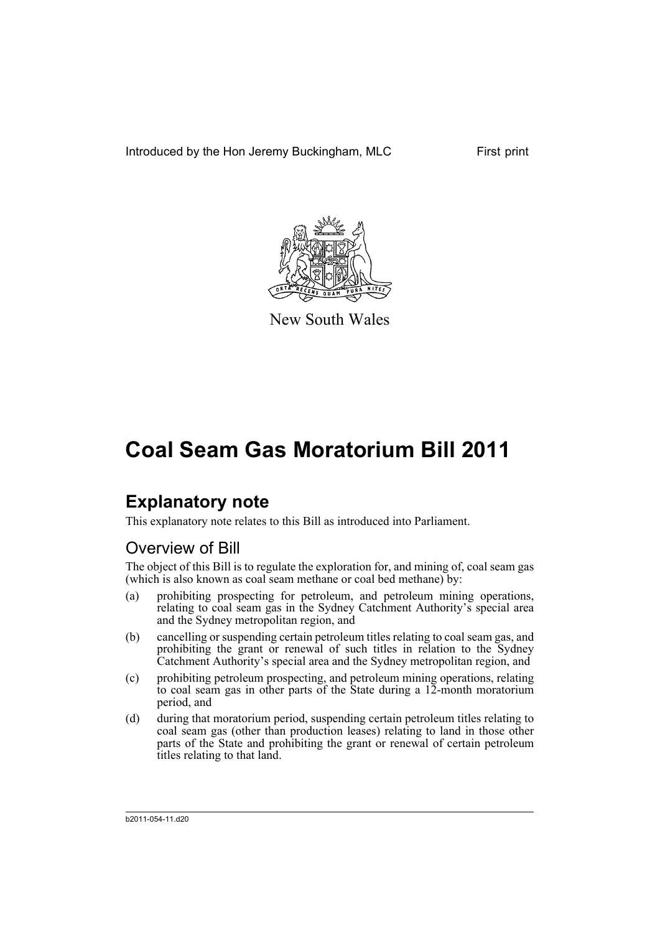Introduced by the Hon Jeremy Buckingham, MLC First print



New South Wales

# **Coal Seam Gas Moratorium Bill 2011**

# **Explanatory note**

This explanatory note relates to this Bill as introduced into Parliament.

# Overview of Bill

The object of this Bill is to regulate the exploration for, and mining of, coal seam gas (which is also known as coal seam methane or coal bed methane) by:

- (a) prohibiting prospecting for petroleum, and petroleum mining operations, relating to coal seam gas in the Sydney Catchment Authority's special area and the Sydney metropolitan region, and
- (b) cancelling or suspending certain petroleum titles relating to coal seam gas, and prohibiting the grant or renewal of such titles in relation to the Sydney Catchment Authority's special area and the Sydney metropolitan region, and
- (c) prohibiting petroleum prospecting, and petroleum mining operations, relating to coal seam gas in other parts of the State during a 12-month moratorium period, and
- (d) during that moratorium period, suspending certain petroleum titles relating to coal seam gas (other than production leases) relating to land in those other parts of the State and prohibiting the grant or renewal of certain petroleum titles relating to that land.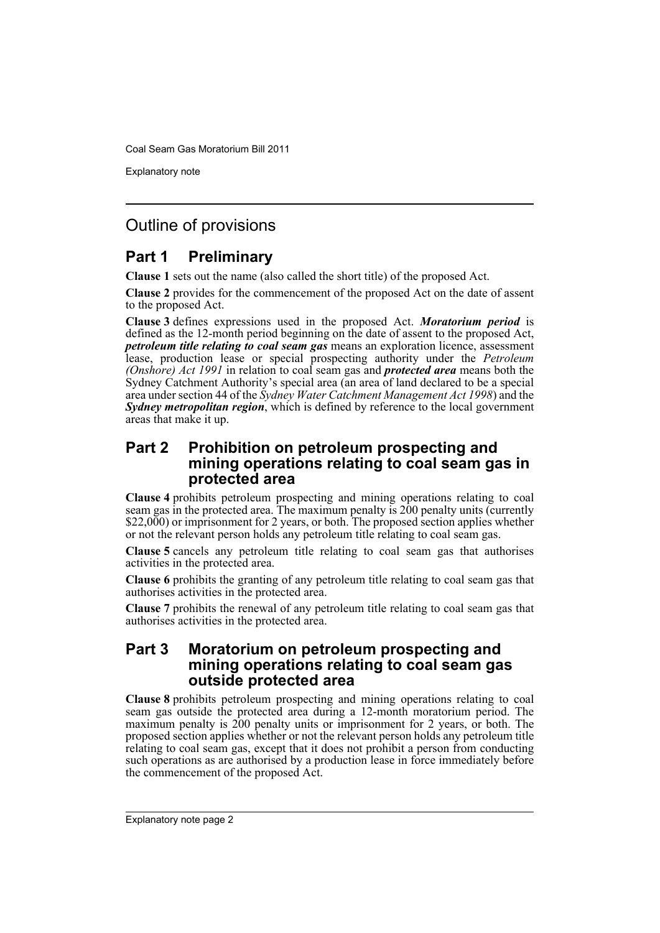Coal Seam Gas Moratorium Bill 2011

Explanatory note

# Outline of provisions

## **Part 1 Preliminary**

**Clause 1** sets out the name (also called the short title) of the proposed Act.

**Clause 2** provides for the commencement of the proposed Act on the date of assent to the proposed Act.

**Clause 3** defines expressions used in the proposed Act. *Moratorium period* is defined as the 12-month period beginning on the date of assent to the proposed Act, *petroleum title relating to coal seam gas* means an exploration licence, assessment lease, production lease or special prospecting authority under the *Petroleum (Onshore) Act 1991* in relation to coal seam gas and *protected area* means both the Sydney Catchment Authority's special area (an area of land declared to be a special area under section 44 of the *Sydney Water Catchment Management Act 1998*) and the *Sydney metropolitan region*, which is defined by reference to the local government areas that make it up.

## **Part 2 Prohibition on petroleum prospecting and mining operations relating to coal seam gas in protected area**

**Clause 4** prohibits petroleum prospecting and mining operations relating to coal seam gas in the protected area. The maximum penalty is 200 penalty units (currently \$22,000) or imprisonment for 2 years, or both. The proposed section applies whether or not the relevant person holds any petroleum title relating to coal seam gas.

**Clause 5** cancels any petroleum title relating to coal seam gas that authorises activities in the protected area.

**Clause 6** prohibits the granting of any petroleum title relating to coal seam gas that authorises activities in the protected area.

**Clause 7** prohibits the renewal of any petroleum title relating to coal seam gas that authorises activities in the protected area.

## **Part 3 Moratorium on petroleum prospecting and mining operations relating to coal seam gas outside protected area**

**Clause 8** prohibits petroleum prospecting and mining operations relating to coal seam gas outside the protected area during a 12-month moratorium period. The maximum penalty is 200 penalty units or imprisonment for 2 years, or both. The proposed section applies whether or not the relevant person holds any petroleum title relating to coal seam gas, except that it does not prohibit a person from conducting such operations as are authorised by a production lease in force immediately before the commencement of the proposed Act.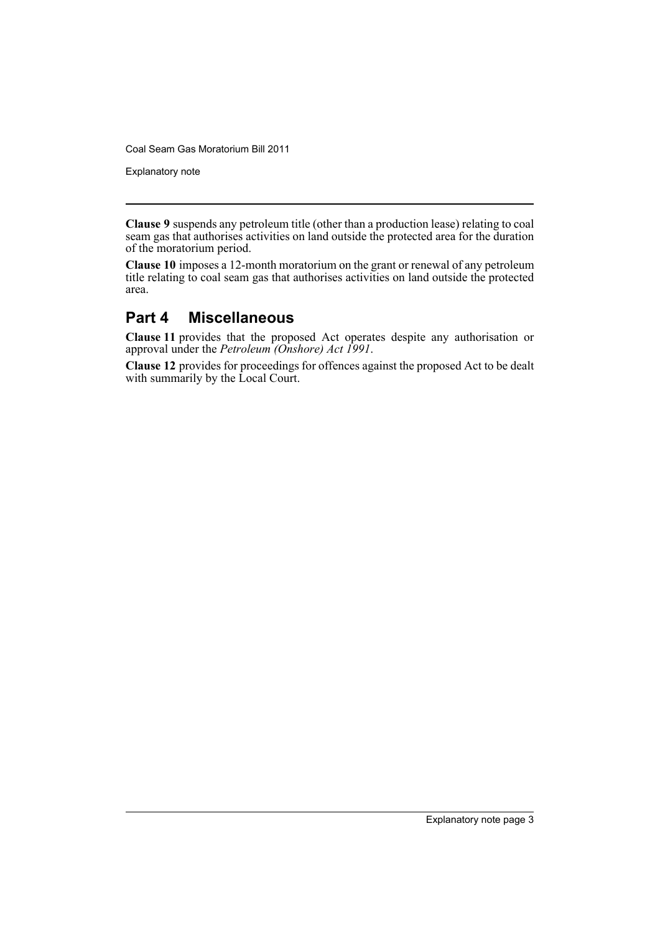Coal Seam Gas Moratorium Bill 2011

Explanatory note

**Clause 9** suspends any petroleum title (other than a production lease) relating to coal seam gas that authorises activities on land outside the protected area for the duration of the moratorium period.

**Clause 10** imposes a 12-month moratorium on the grant or renewal of any petroleum title relating to coal seam gas that authorises activities on land outside the protected area.

## **Part 4 Miscellaneous**

**Clause 11** provides that the proposed Act operates despite any authorisation or approval under the *Petroleum (Onshore) Act 1991*.

**Clause 12** provides for proceedings for offences against the proposed Act to be dealt with summarily by the Local Court.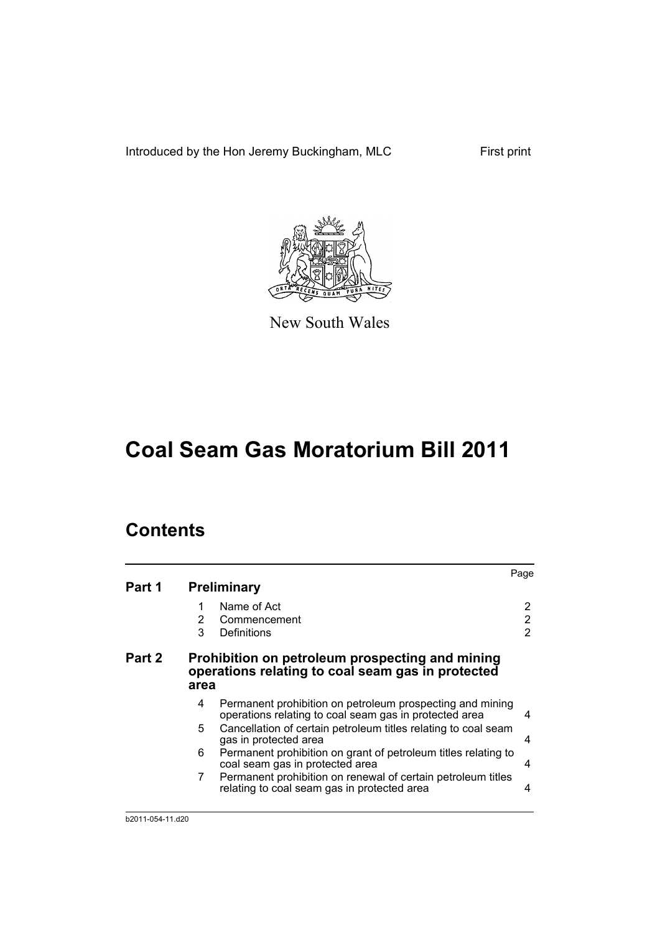Introduced by the Hon Jeremy Buckingham, MLC First print



New South Wales

# **Coal Seam Gas Moratorium Bill 2011**

# **Contents**

|        |                                                                                                              |                                                                                                                     | Page |  |  |
|--------|--------------------------------------------------------------------------------------------------------------|---------------------------------------------------------------------------------------------------------------------|------|--|--|
| Part 1 | <b>Preliminary</b>                                                                                           |                                                                                                                     |      |  |  |
|        |                                                                                                              | Name of Act                                                                                                         | 2    |  |  |
|        | 2                                                                                                            | Commencement                                                                                                        | 2    |  |  |
|        | 3                                                                                                            | Definitions                                                                                                         | 2    |  |  |
| Part 2 | Prohibition on petroleum prospecting and mining<br>operations relating to coal seam gas in protected<br>area |                                                                                                                     |      |  |  |
|        | 4                                                                                                            | Permanent prohibition on petroleum prospecting and mining<br>operations relating to coal seam gas in protected area | 4    |  |  |
|        | 5                                                                                                            | Cancellation of certain petroleum titles relating to coal seam<br>gas in protected area                             | 4    |  |  |
|        | 6                                                                                                            | Permanent prohibition on grant of petroleum titles relating to<br>coal seam gas in protected area                   | 4    |  |  |
|        | 7                                                                                                            | Permanent prohibition on renewal of certain petroleum titles<br>relating to coal seam gas in protected area         | 4    |  |  |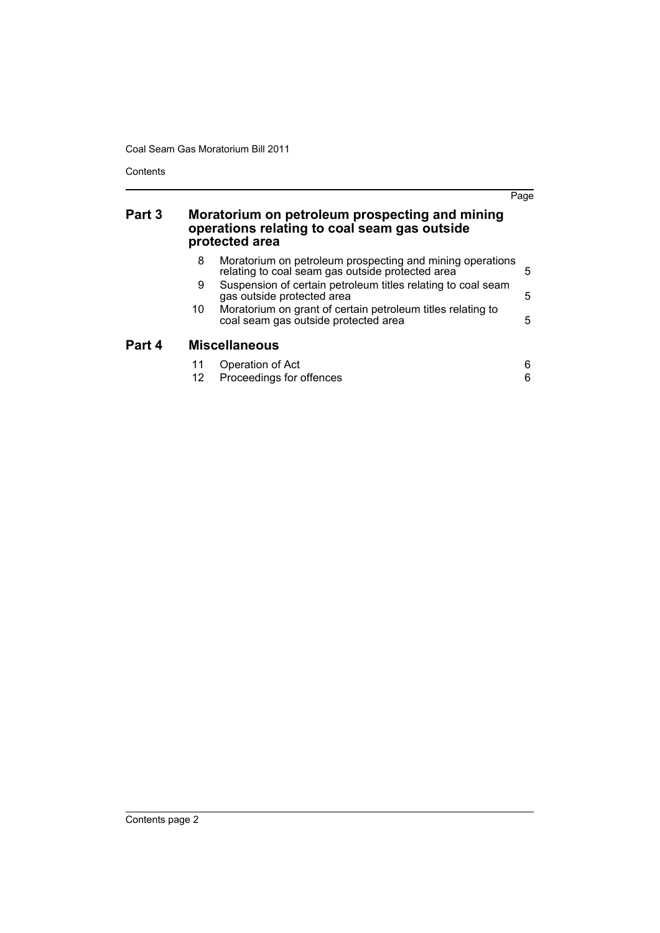Coal Seam Gas Moratorium Bill 2011

**Contents** 

|        |                                                                                                                  |                                                                                                               | Page   |  |  |
|--------|------------------------------------------------------------------------------------------------------------------|---------------------------------------------------------------------------------------------------------------|--------|--|--|
| Part 3 | Moratorium on petroleum prospecting and mining<br>operations relating to coal seam gas outside<br>protected area |                                                                                                               |        |  |  |
|        | 8                                                                                                                | Moratorium on petroleum prospecting and mining operations<br>relating to coal seam gas outside protected area | 5      |  |  |
|        | 9                                                                                                                | Suspension of certain petroleum titles relating to coal seam<br>gas outside protected area                    | 5      |  |  |
|        | 10                                                                                                               | Moratorium on grant of certain petroleum titles relating to<br>coal seam gas outside protected area           | 5      |  |  |
| Part 4 | <b>Miscellaneous</b>                                                                                             |                                                                                                               |        |  |  |
|        | 11<br>12                                                                                                         | Operation of Act<br>Proceedings for offences                                                                  | 6<br>6 |  |  |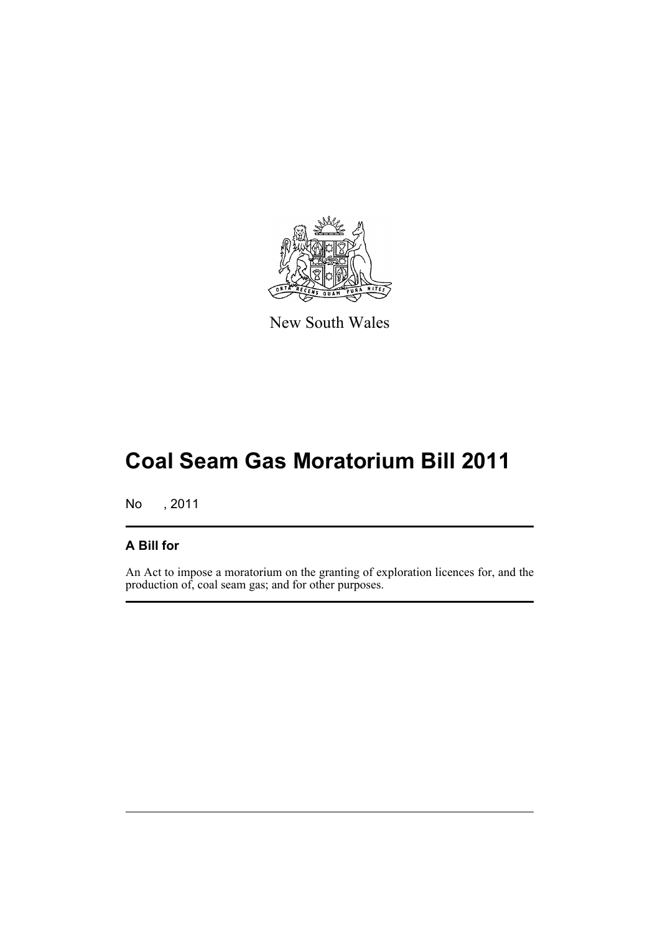

New South Wales

# **Coal Seam Gas Moratorium Bill 2011**

No , 2011

## **A Bill for**

An Act to impose a moratorium on the granting of exploration licences for, and the production of, coal seam gas; and for other purposes.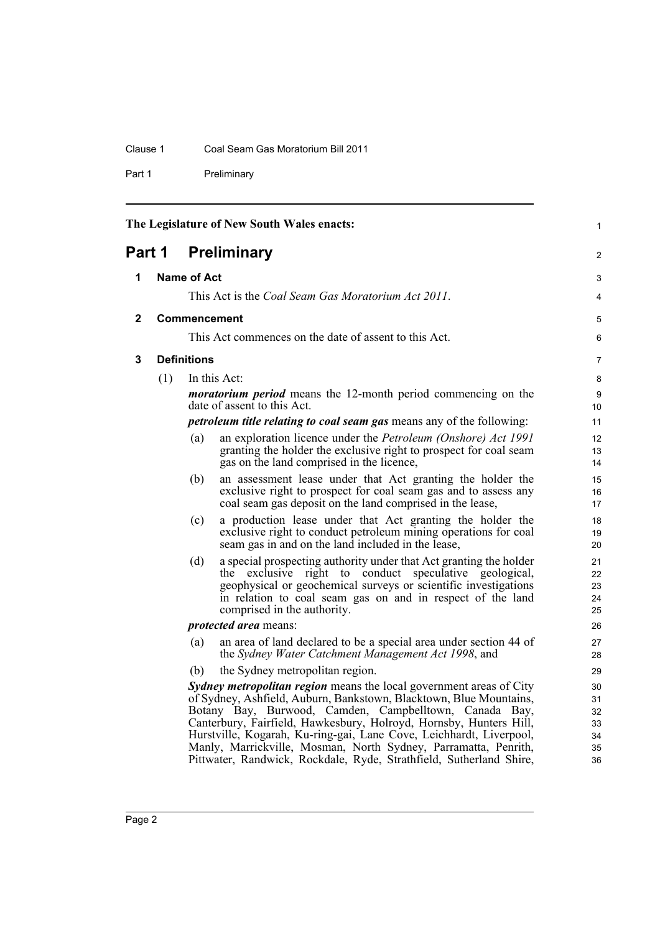### Clause 1 Coal Seam Gas Moratorium Bill 2011

Part 1 Preliminary

<span id="page-7-3"></span><span id="page-7-2"></span><span id="page-7-1"></span><span id="page-7-0"></span>

| The Legislature of New South Wales enacts:<br>$\mathbf{1}$ |                     |                                                       |                                                                                                                                                                                                                                                                                                                                                                                                                                                                                            |                                        |  |
|------------------------------------------------------------|---------------------|-------------------------------------------------------|--------------------------------------------------------------------------------------------------------------------------------------------------------------------------------------------------------------------------------------------------------------------------------------------------------------------------------------------------------------------------------------------------------------------------------------------------------------------------------------------|----------------------------------------|--|
| Part 1                                                     |                     |                                                       | <b>Preliminary</b>                                                                                                                                                                                                                                                                                                                                                                                                                                                                         | $\overline{2}$                         |  |
| 1                                                          | Name of Act         |                                                       |                                                                                                                                                                                                                                                                                                                                                                                                                                                                                            | 3                                      |  |
|                                                            |                     |                                                       | This Act is the Coal Seam Gas Moratorium Act 2011.                                                                                                                                                                                                                                                                                                                                                                                                                                         | 4                                      |  |
| $\mathbf{2}$                                               | <b>Commencement</b> |                                                       |                                                                                                                                                                                                                                                                                                                                                                                                                                                                                            | 5                                      |  |
|                                                            |                     | This Act commences on the date of assent to this Act. |                                                                                                                                                                                                                                                                                                                                                                                                                                                                                            |                                        |  |
| 3                                                          |                     | <b>Definitions</b>                                    |                                                                                                                                                                                                                                                                                                                                                                                                                                                                                            | 7                                      |  |
|                                                            | (1)                 |                                                       | In this Act:                                                                                                                                                                                                                                                                                                                                                                                                                                                                               | 8                                      |  |
|                                                            |                     |                                                       | <i>moratorium period</i> means the 12-month period commencing on the<br>date of assent to this Act.                                                                                                                                                                                                                                                                                                                                                                                        | 9<br>10                                |  |
|                                                            |                     |                                                       | <i>petroleum title relating to coal seam gas means any of the following:</i>                                                                                                                                                                                                                                                                                                                                                                                                               | 11                                     |  |
|                                                            |                     | (a)                                                   | an exploration licence under the Petroleum (Onshore) Act 1991<br>granting the holder the exclusive right to prospect for coal seam<br>gas on the land comprised in the licence,                                                                                                                                                                                                                                                                                                            | 12<br>13<br>14                         |  |
|                                                            |                     | (b)                                                   | an assessment lease under that Act granting the holder the<br>exclusive right to prospect for coal seam gas and to assess any<br>coal seam gas deposit on the land comprised in the lease,                                                                                                                                                                                                                                                                                                 | 15<br>16<br>17                         |  |
|                                                            |                     | (c)                                                   | a production lease under that Act granting the holder the<br>exclusive right to conduct petroleum mining operations for coal<br>seam gas in and on the land included in the lease,                                                                                                                                                                                                                                                                                                         | 18<br>19<br>20                         |  |
|                                                            |                     | (d)                                                   | a special prospecting authority under that Act granting the holder<br>the exclusive right to conduct speculative geological,<br>geophysical or geochemical surveys or scientific investigations<br>in relation to coal seam gas on and in respect of the land<br>comprised in the authority.                                                                                                                                                                                               | 21<br>22<br>23<br>24<br>25             |  |
|                                                            |                     |                                                       | <i>protected area</i> means:                                                                                                                                                                                                                                                                                                                                                                                                                                                               | 26                                     |  |
|                                                            |                     | (a)                                                   | an area of land declared to be a special area under section 44 of<br>the Sydney Water Catchment Management Act 1998, and                                                                                                                                                                                                                                                                                                                                                                   | 27<br>28                               |  |
|                                                            |                     | (b)                                                   | the Sydney metropolitan region.                                                                                                                                                                                                                                                                                                                                                                                                                                                            | 29                                     |  |
|                                                            |                     |                                                       | Sydney metropolitan region means the local government areas of City<br>of Sydney, Ashfield, Auburn, Bankstown, Blacktown, Blue Mountains,<br>Botany Bay, Burwood, Camden, Campbelltown, Canada Bay,<br>Canterbury, Fairfield, Hawkesbury, Holroyd, Hornsby, Hunters Hill,<br>Hurstville, Kogarah, Ku-ring-gai, Lane Cove, Leichhardt, Liverpool,<br>Manly, Marrickville, Mosman, North Sydney, Parramatta, Penrith,<br>Pittwater, Randwick, Rockdale, Ryde, Strathfield, Sutherland Shire, | 30<br>31<br>32<br>33<br>34<br>35<br>36 |  |
|                                                            |                     |                                                       |                                                                                                                                                                                                                                                                                                                                                                                                                                                                                            |                                        |  |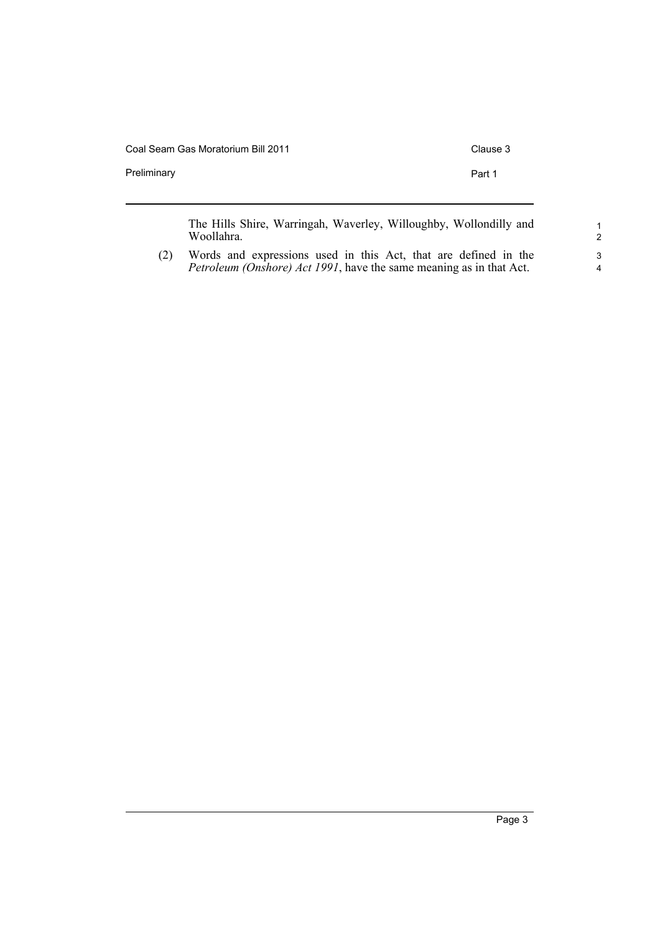Coal Seam Gas Moratorium Bill 2011 Clause 3

Preliminary **Preliminary Part 1** 

The Hills Shire, Warringah, Waverley, Willoughby, Wollondilly and Woollahra.

(2) Words and expressions used in this Act, that are defined in the *Petroleum (Onshore) Act 1991*, have the same meaning as in that Act.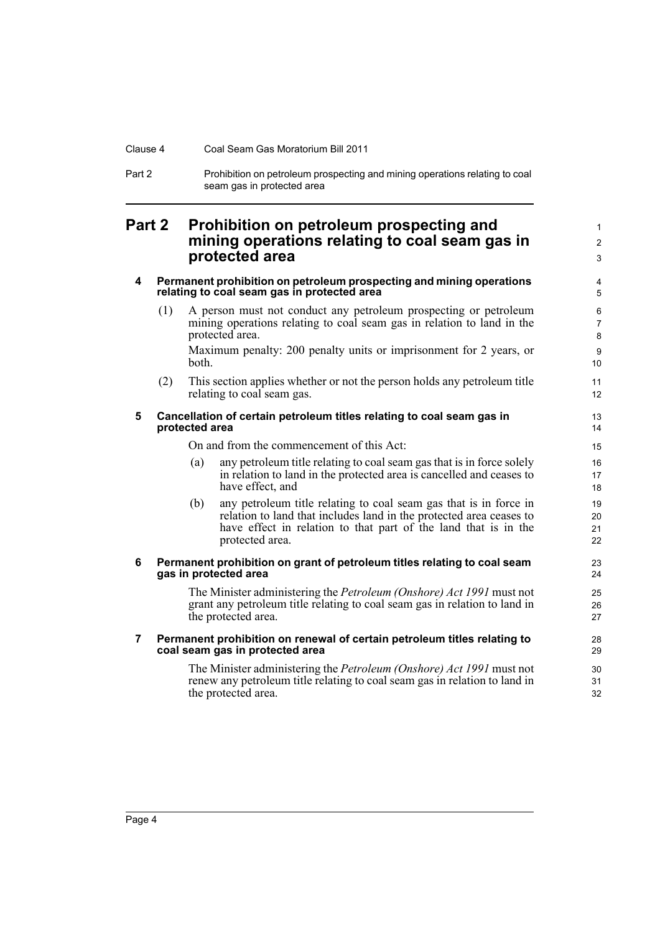#### Clause 4 Coal Seam Gas Moratorium Bill 2011

Part 2 Prohibition on petroleum prospecting and mining operations relating to coal seam gas in protected area

## <span id="page-9-0"></span>**Part 2 Prohibition on petroleum prospecting and mining operations relating to coal seam gas in protected area**

#### <span id="page-9-1"></span>**4 Permanent prohibition on petroleum prospecting and mining operations relating to coal seam gas in protected area**

- (1) A person must not conduct any petroleum prospecting or petroleum mining operations relating to coal seam gas in relation to land in the protected area. Maximum penalty: 200 penalty units or imprisonment for 2 years, or both.
- (2) This section applies whether or not the person holds any petroleum title relating to coal seam gas.

#### <span id="page-9-2"></span>**5 Cancellation of certain petroleum titles relating to coal seam gas in protected area**

#### On and from the commencement of this Act:

- (a) any petroleum title relating to coal seam gas that is in force solely in relation to land in the protected area is cancelled and ceases to have effect, and
- (b) any petroleum title relating to coal seam gas that is in force in relation to land that includes land in the protected area ceases to have effect in relation to that part of the land that is in the protected area.

#### <span id="page-9-3"></span>**6 Permanent prohibition on grant of petroleum titles relating to coal seam gas in protected area**

The Minister administering the *Petroleum (Onshore) Act 1991* must not grant any petroleum title relating to coal seam gas in relation to land in the protected area.

#### <span id="page-9-4"></span>**7 Permanent prohibition on renewal of certain petroleum titles relating to coal seam gas in protected area**

The Minister administering the *Petroleum (Onshore) Act 1991* must not renew any petroleum title relating to coal seam gas in relation to land in the protected area.

1 2 3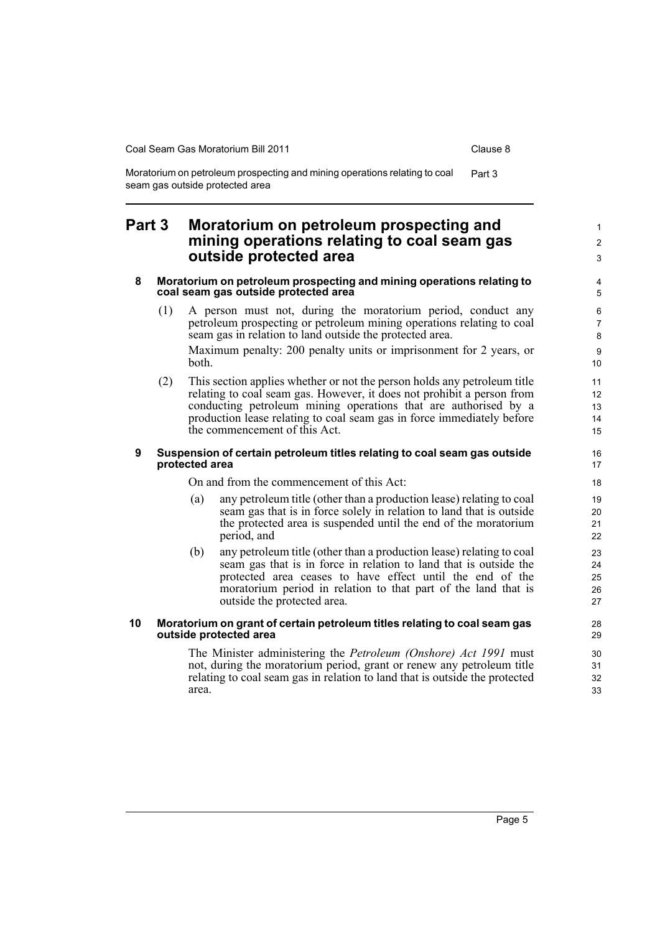1  $\mathfrak{p}$ 3

Moratorium on petroleum prospecting and mining operations relating to coal Part 3 seam gas outside protected area

### <span id="page-10-0"></span>**Part 3 Moratorium on petroleum prospecting and mining operations relating to coal seam gas outside protected area**

#### <span id="page-10-1"></span>**8 Moratorium on petroleum prospecting and mining operations relating to coal seam gas outside protected area**

- (1) A person must not, during the moratorium period, conduct any petroleum prospecting or petroleum mining operations relating to coal seam gas in relation to land outside the protected area. Maximum penalty: 200 penalty units or imprisonment for 2 years, or both.
- (2) This section applies whether or not the person holds any petroleum title relating to coal seam gas. However, it does not prohibit a person from conducting petroleum mining operations that are authorised by a production lease relating to coal seam gas in force immediately before the commencement of this Act.

#### <span id="page-10-2"></span>**9 Suspension of certain petroleum titles relating to coal seam gas outside protected area**

On and from the commencement of this Act:

- (a) any petroleum title (other than a production lease) relating to coal seam gas that is in force solely in relation to land that is outside the protected area is suspended until the end of the moratorium period, and
- (b) any petroleum title (other than a production lease) relating to coal seam gas that is in force in relation to land that is outside the protected area ceases to have effect until the end of the moratorium period in relation to that part of the land that is outside the protected area.

#### <span id="page-10-3"></span>**10 Moratorium on grant of certain petroleum titles relating to coal seam gas outside protected area**

The Minister administering the *Petroleum (Onshore) Act 1991* must not, during the moratorium period, grant or renew any petroleum title relating to coal seam gas in relation to land that is outside the protected area.